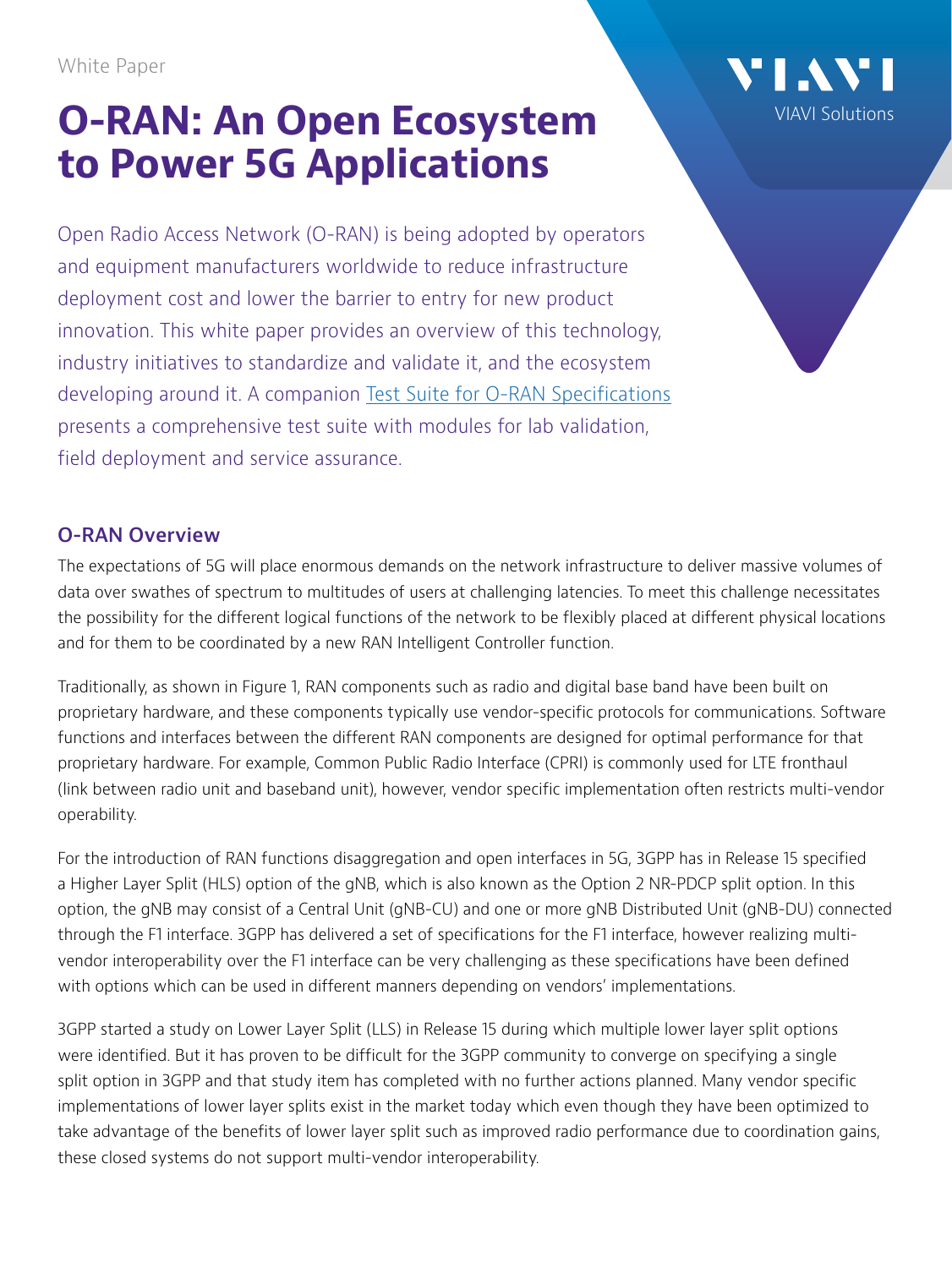White Paper

# **O-RAN: An Open Ecosystem to Power 5G Applications**

Open Radio Access Network (O-RAN) is being adopted by operators and equipment manufacturers worldwide to reduce infrastructure deployment cost and lower the barrier to entry for new product innovation. This white paper provides an overview of this technology, industry initiatives to standardize and validate it, and the ecosystem developing around it. A companion [Test Suite for O-RAN Specifications](https://comms.viavisolutions.com/O-RAN-Test-Suit-vi85789?_ga=2.253786376.1053491762.1610892089-1645727059.1609764760) presents a comprehensive test suite with modules for lab validation, field deployment and service assurance.

## **O-RAN Overview**

The expectations of 5G will place enormous demands on the network infrastructure to deliver massive volumes of data over swathes of spectrum to multitudes of users at challenging latencies. To meet this challenge necessitates the possibility for the different logical functions of the network to be flexibly placed at different physical locations and for them to be coordinated by a new RAN Intelligent Controller function.

[VIAVI Solutions](http://www.viavisolutions.com)

Traditionally, as shown in Figure 1, RAN components such as radio and digital base band have been built on proprietary hardware, and these components typically use vendor-specific protocols for communications. Software functions and interfaces between the different RAN components are designed for optimal performance for that proprietary hardware. For example, Common Public Radio Interface (CPRI) is commonly used for LTE fronthaul (link between radio unit and baseband unit), however, vendor specific implementation often restricts multi-vendor operability.

For the introduction of RAN functions disaggregation and open interfaces in 5G, 3GPP has in Release 15 specified a Higher Layer Split (HLS) option of the gNB, which is also known as the Option 2 NR-PDCP split option. In this option, the gNB may consist of a Central Unit (gNB-CU) and one or more gNB Distributed Unit (gNB-DU) connected through the F1 interface. 3GPP has delivered a set of specifications for the F1 interface, however realizing multivendor interoperability over the F1 interface can be very challenging as these specifications have been defined with options which can be used in different manners depending on vendors' implementations.

3GPP started a study on Lower Layer Split (LLS) in Release 15 during which multiple lower layer split options were identified. But it has proven to be difficult for the 3GPP community to converge on specifying a single split option in 3GPP and that study item has completed with no further actions planned. Many vendor specific implementations of lower layer splits exist in the market today which even though they have been optimized to take advantage of the benefits of lower layer split such as improved radio performance due to coordination gains, these closed systems do not support multi-vendor interoperability.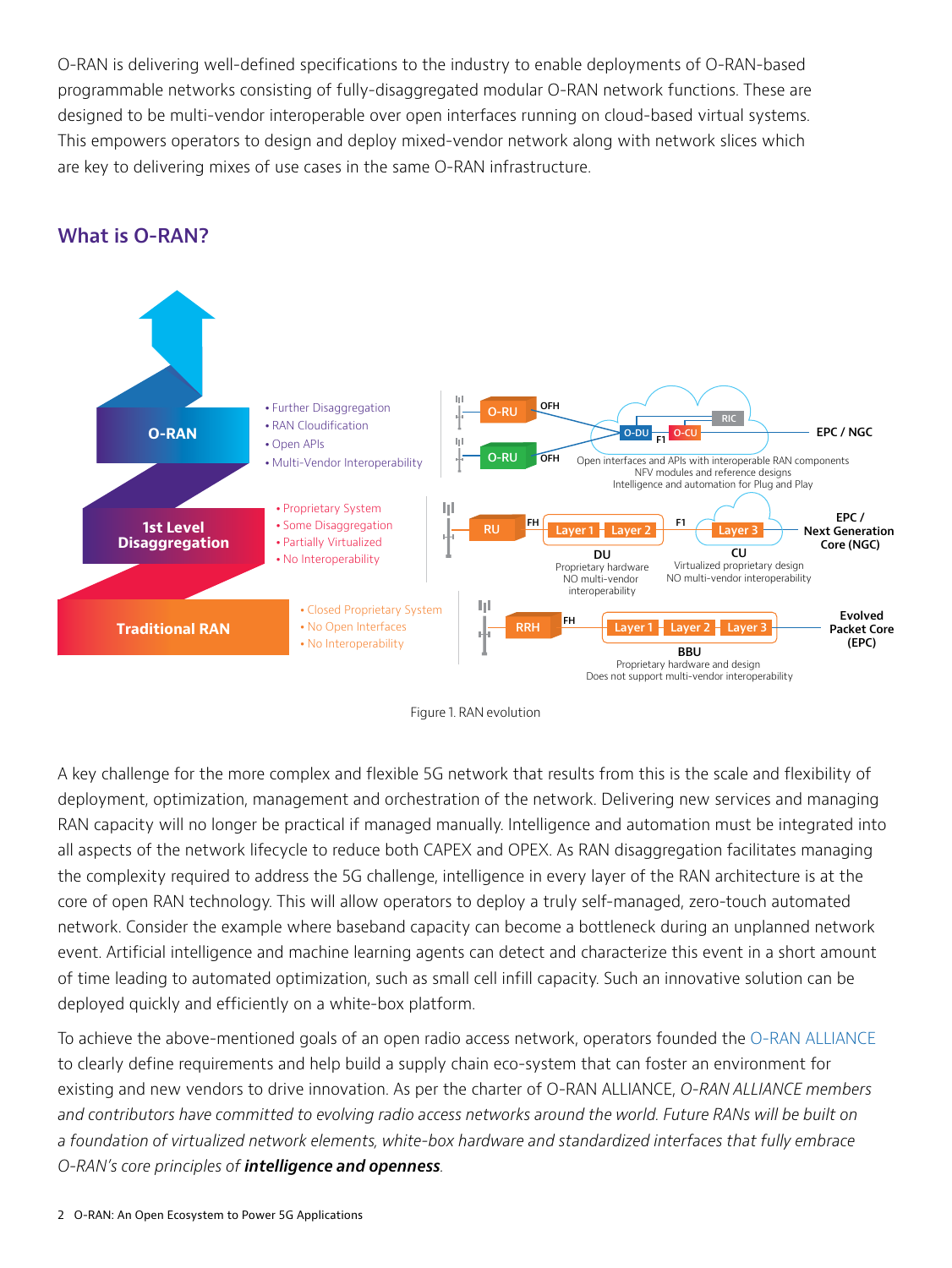O-RAN is delivering well-defined specifications to the industry to enable deployments of O-RAN-based programmable networks consisting of fully-disaggregated modular O-RAN network functions. These are designed to be multi-vendor interoperable over open interfaces running on cloud-based virtual systems. This empowers operators to design and deploy mixed-vendor network along with network slices which are key to delivering mixes of use cases in the same O-RAN infrastructure.

# **What is O-RAN?**





A key challenge for the more complex and flexible 5G network that results from this is the scale and flexibility of deployment, optimization, management and orchestration of the network. Delivering new services and managing RAN capacity will no longer be practical if managed manually. Intelligence and automation must be integrated into all aspects of the network lifecycle to reduce both CAPEX and OPEX. As RAN disaggregation facilitates managing the complexity required to address the 5G challenge, intelligence in every layer of the RAN architecture is at the core of open RAN technology. This will allow operators to deploy a truly self-managed, zero-touch automated network. Consider the example where baseband capacity can become a bottleneck during an unplanned network event. Artificial intelligence and machine learning agents can detect and characterize this event in a short amount of time leading to automated optimization, such as small cell infill capacity. Such an innovative solution can be deployed quickly and efficiently on a white-box platform.

To achieve the above-mentioned goals of an open radio access network, operators founded the [O-RAN ALLIANCE](https://www.o-ran.org/) to clearly define requirements and help build a supply chain eco-system that can foster an environment for existing and new vendors to drive innovation. As per the charter of O-RAN ALLIANCE, *O-RAN ALLIANCE members and contributors have committed to evolving radio access networks around the world. Future RANs will be built on a foundation of virtualized network elements, white-box hardware and standardized interfaces that fully embrace O-RAN's core principles of intelligence and openness.*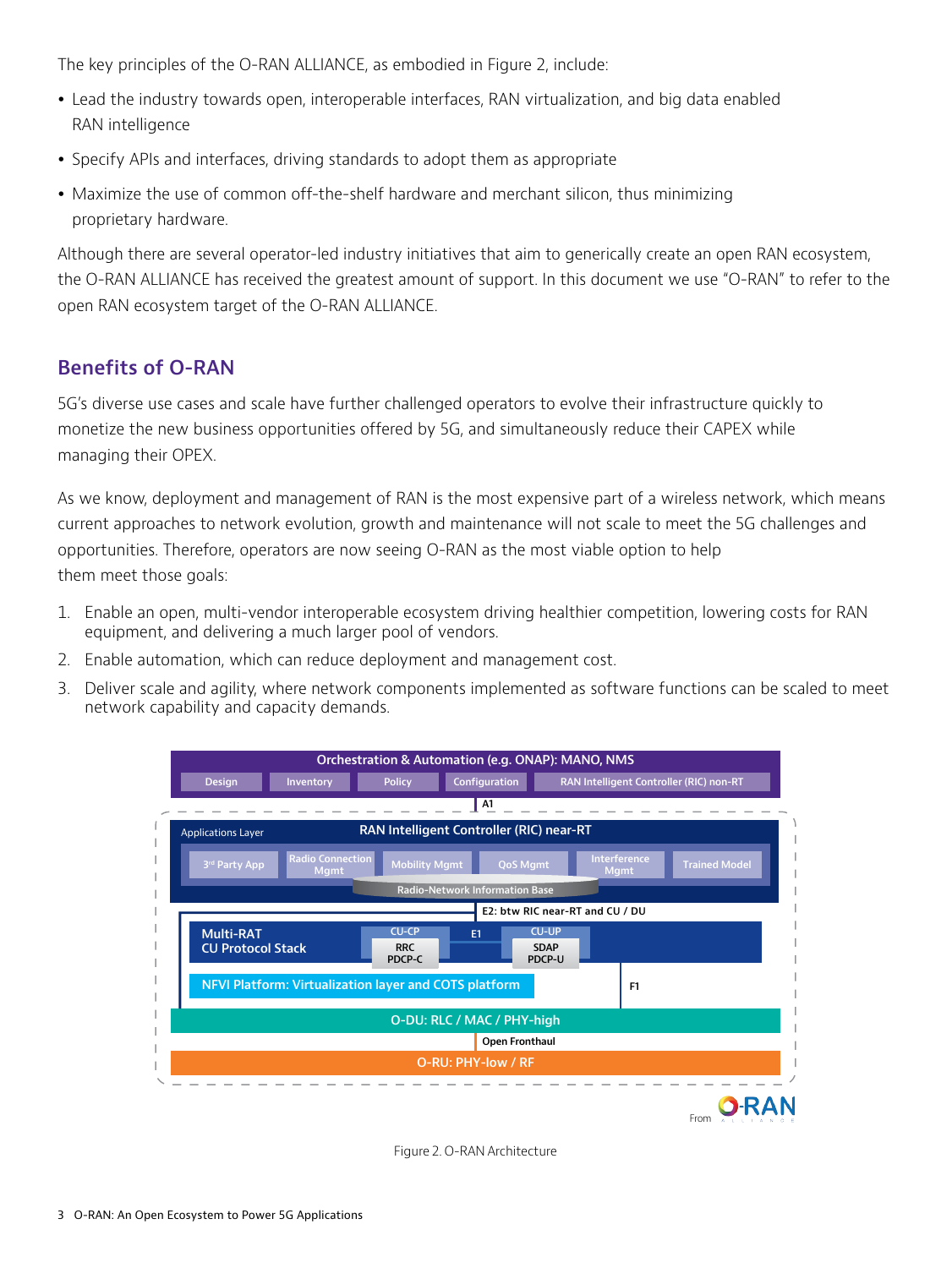The key principles of the O-RAN ALLIANCE, as embodied in Figure 2, include:

- Lead the industry towards open, interoperable interfaces, RAN virtualization, and big data enabled RAN intelligence
- Specify APIs and interfaces, driving standards to adopt them as appropriate
- Maximize the use of common off-the-shelf hardware and merchant silicon, thus minimizing proprietary hardware.

Although there are several operator-led industry initiatives that aim to generically create an open RAN ecosystem, the O-RAN ALLIANCE has received the greatest amount of support. In this document we use "O-RAN" to refer to the open RAN ecosystem target of the O-RAN ALLIANCE.

#### **Benefits of O-RAN**

5G's diverse use cases and scale have further challenged operators to evolve their infrastructure quickly to monetize the new business opportunities offered by 5G, and simultaneously reduce their CAPEX while managing their OPEX.

As we know, deployment and management of RAN is the most expensive part of a wireless network, which means current approaches to network evolution, growth and maintenance will not scale to meet the 5G challenges and opportunities. Therefore, operators are now seeing O-RAN as the most viable option to help them meet those goals:

- 1. Enable an open, multi-vendor interoperable ecosystem driving healthier competition, lowering costs for RAN equipment, and delivering a much larger pool of vendors.
- 2. Enable automation, which can reduce deployment and management cost.
- 3. Deliver scale and agility, where network components implemented as software functions can be scaled to meet network capability and capacity demands.



Figure 2. O-RAN Architecture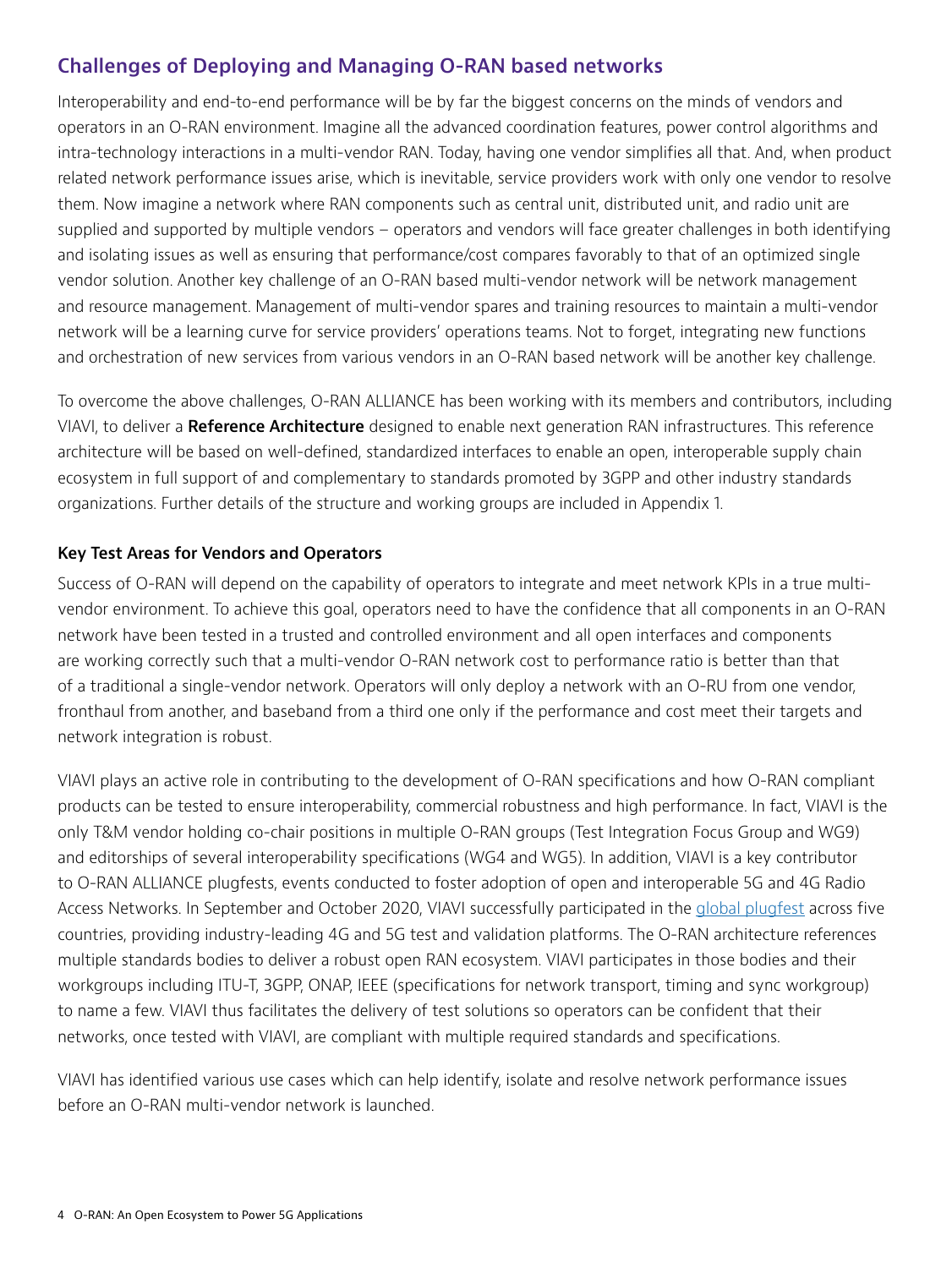### **Challenges of Deploying and Managing O-RAN based networks**

Interoperability and end-to-end performance will be by far the biggest concerns on the minds of vendors and operators in an O-RAN environment. Imagine all the advanced coordination features, power control algorithms and intra-technology interactions in a multi-vendor RAN. Today, having one vendor simplifies all that. And, when product related network performance issues arise, which is inevitable, service providers work with only one vendor to resolve them. Now imagine a network where RAN components such as central unit, distributed unit, and radio unit are supplied and supported by multiple vendors – operators and vendors will face greater challenges in both identifying and isolating issues as well as ensuring that performance/cost compares favorably to that of an optimized single vendor solution. Another key challenge of an O-RAN based multi-vendor network will be network management and resource management. Management of multi-vendor spares and training resources to maintain a multi-vendor network will be a learning curve for service providers' operations teams. Not to forget, integrating new functions and orchestration of new services from various vendors in an O-RAN based network will be another key challenge.

To overcome the above challenges, O-RAN ALLIANCE has been working with its members and contributors, including VIAVI, to deliver a **Reference Architecture** designed to enable next generation RAN infrastructures. This reference architecture will be based on well-defined, standardized interfaces to enable an open, interoperable supply chain ecosystem in full support of and complementary to standards promoted by 3GPP and other industry standards organizations. Further details of the structure and working groups are included in Appendix 1.

#### **Key Test Areas for Vendors and Operators**

Success of O-RAN will depend on the capability of operators to integrate and meet network KPIs in a true multivendor environment. To achieve this goal, operators need to have the confidence that all components in an O-RAN network have been tested in a trusted and controlled environment and all open interfaces and components are working correctly such that a multi-vendor O-RAN network cost to performance ratio is better than that of a traditional a single-vendor network. Operators will only deploy a network with an O-RU from one vendor, fronthaul from another, and baseband from a third one only if the performance and cost meet their targets and network integration is robust.

VIAVI plays an active role in contributing to the development of O-RAN specifications and how O-RAN compliant products can be tested to ensure interoperability, commercial robustness and high performance. In fact, VIAVI is the only T&M vendor holding co-chair positions in multiple O-RAN groups (Test Integration Focus Group and WG9) and editorships of several interoperability specifications (WG4 and WG5). In addition, VIAVI is a key contributor to O-RAN ALLIANCE plugfests, events conducted to foster adoption of open and interoperable 5G and 4G Radio Access Networks. In September and October 2020, VIAVI successfully participated in the [global plugfest](https://www.viavisolutions.com/en-us/news-releases/viavi-participates-global-o-ran-plugfest-across-five-countries-4g-and-5g-lab-and-field-test) across five countries, providing industry-leading 4G and 5G test and validation platforms. The O-RAN architecture references multiple standards bodies to deliver a robust open RAN ecosystem. VIAVI participates in those bodies and their workgroups including ITU-T, 3GPP, ONAP, IEEE (specifications for network transport, timing and sync workgroup) to name a few. VIAVI thus facilitates the delivery of test solutions so operators can be confident that their networks, once tested with VIAVI, are compliant with multiple required standards and specifications.

VIAVI has identified various use cases which can help identify, isolate and resolve network performance issues before an O-RAN multi-vendor network is launched.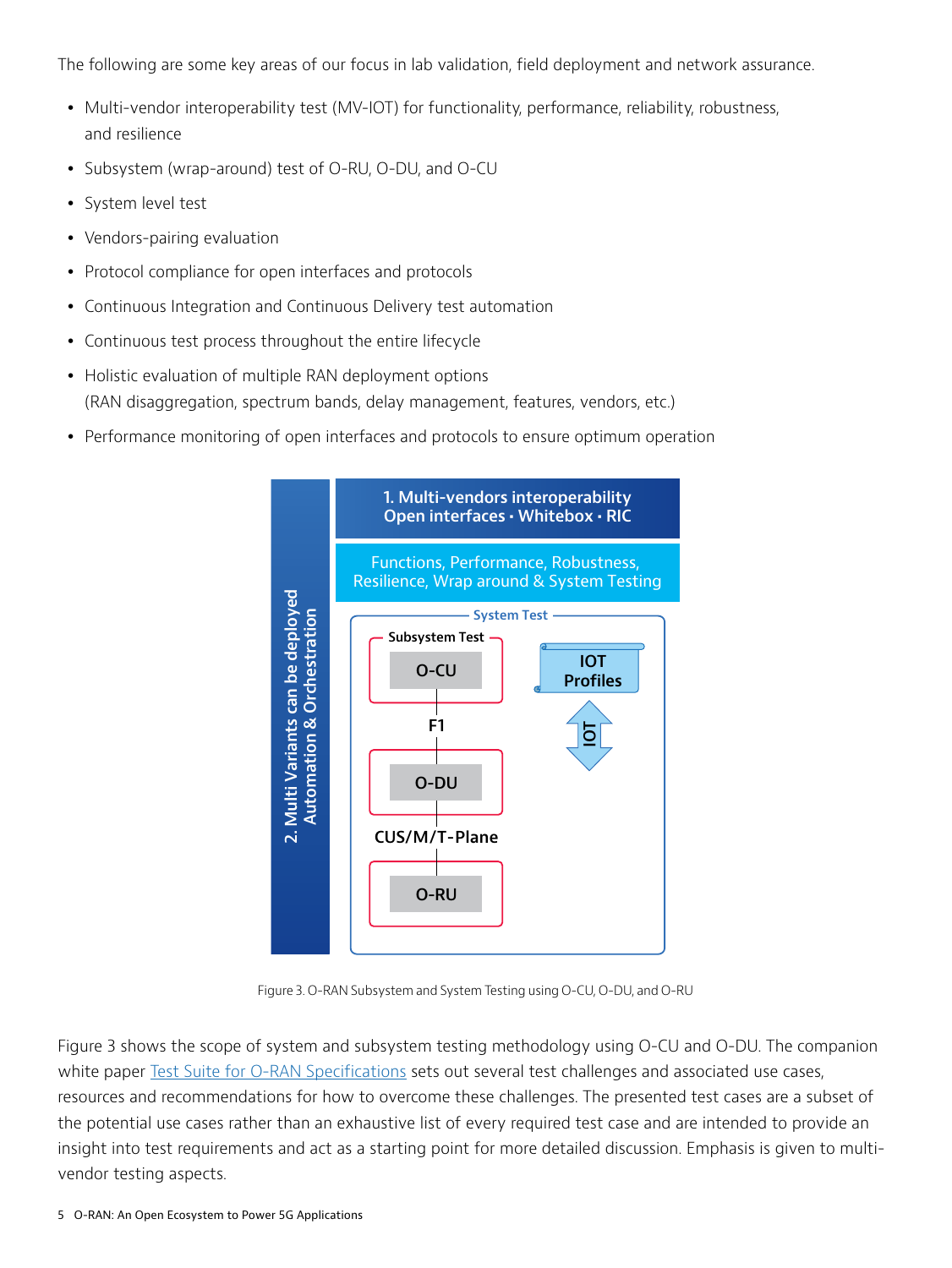The following are some key areas of our focus in lab validation, field deployment and network assurance.

- Multi-vendor interoperability test (MV-IOT) for functionality, performance, reliability, robustness, and resilience
- Subsystem (wrap-around) test of O-RU, O-DU, and O-CU
- System level test
- Vendors-pairing evaluation
- Protocol compliance for open interfaces and protocols
- Continuous Integration and Continuous Delivery test automation
- Continuous test process throughout the entire lifecycle
- Holistic evaluation of multiple RAN deployment options (RAN disaggregation, spectrum bands, delay management, features, vendors, etc.)
- Performance monitoring of open interfaces and protocols to ensure optimum operation



Figure 3. O-RAN Subsystem and System Testing using O-CU, O-DU, and O-RU

Figure 3 shows the scope of system and subsystem testing methodology using O-CU and O-DU. The companion white paper [Test Suite for O-RAN Specifications](https://comms.viavisolutions.com/O-RAN-Test-Suit-vi85789?_ga=2.253786376.1053491762.1610892089-1645727059.1609764760) sets out several test challenges and associated use cases, resources and recommendations for how to overcome these challenges. The presented test cases are a subset of the potential use cases rather than an exhaustive list of every required test case and are intended to provide an insight into test requirements and act as a starting point for more detailed discussion. Emphasis is given to multivendor testing aspects.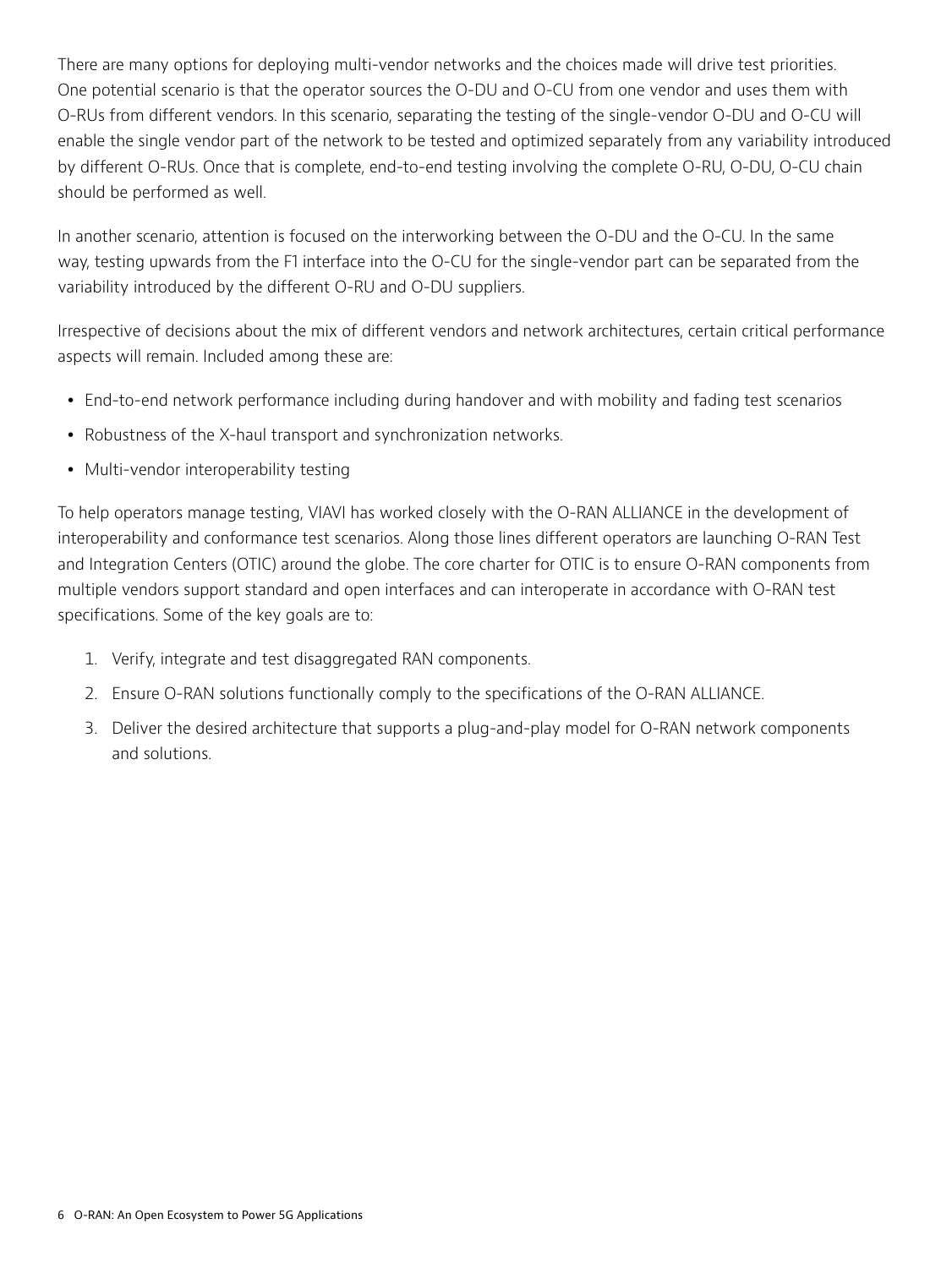There are many options for deploying multi-vendor networks and the choices made will drive test priorities. One potential scenario is that the operator sources the O-DU and O-CU from one vendor and uses them with O-RUs from different vendors. In this scenario, separating the testing of the single-vendor O-DU and O-CU will enable the single vendor part of the network to be tested and optimized separately from any variability introduced by different O-RUs. Once that is complete, end-to-end testing involving the complete O-RU, O-DU, O-CU chain should be performed as well.

In another scenario, attention is focused on the interworking between the O-DU and the O-CU. In the same way, testing upwards from the F1 interface into the O-CU for the single-vendor part can be separated from the variability introduced by the different O-RU and O-DU suppliers.

Irrespective of decisions about the mix of different vendors and network architectures, certain critical performance aspects will remain. Included among these are:

- End-to-end network performance including during handover and with mobility and fading test scenarios
- Robustness of the X-haul transport and synchronization networks.
- Multi-vendor interoperability testing

To help operators manage testing, VIAVI has worked closely with the O-RAN ALLIANCE in the development of interoperability and conformance test scenarios. Along those lines different operators are launching O-RAN Test and Integration Centers (OTIC) around the globe. The core charter for OTIC is to ensure O-RAN components from multiple vendors support standard and open interfaces and can interoperate in accordance with O-RAN test specifications. Some of the key goals are to:

- 1. Verify, integrate and test disaggregated RAN components.
- 2. Ensure O-RAN solutions functionally comply to the specifications of the O-RAN ALLIANCE.
- 3. Deliver the desired architecture that supports a plug-and-play model for O-RAN network components and solutions.